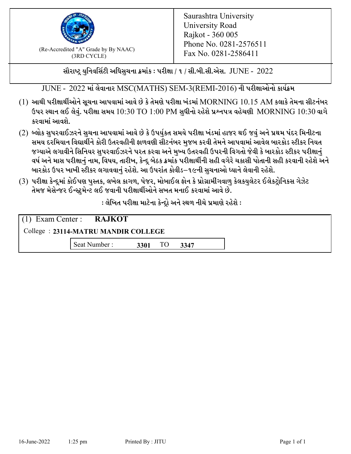

 $F_{\text{R}}$  (Re-Accredited "A" Grade by By NAAC)<br>(3PD CVCLE)<br> $F_{\text{R}}$  No. 0281-2586411 (3RD CYCLE)

સૌરાષ્ટ્ર યુનિવર્સિટી અધિસુચના ક્રમાંક : પરીક્ષા / ૧ / સી.બી.સી.એસ.  $\,$  JUNE -  $\,2022$ 

JUNE - 2022 માં લેવાનાર MSC(MATHS) SEM-3(REMI-2016) ની પરીક્ષાઓનો કાર્યક્રમ

- $(1)$  આથી પરીક્ષાર્થીઓને સૂચના આપવામાં આવે છે કે તેમણે પરીક્ષા ખંડમાં  $\operatorname{MORNING}$   $10.15$   $\operatorname{AM}$  કલાકે તેમના સીટનંબર ઉપર સ્થાન લઈ લેવું. પરીક્ષા સમય  $10:30 \text{ TO } 1:00 \text{ PM}$  સુધીનો રહેશે પ્રશ્નપત્ર વહેચણી  $\text{MORNING } 10:30$  વાગે કરવામાં આવશે.
- (2) બ્લોક સુપરવાઈઝરને સુચના આપવામાં આવે છે કે ઉપર્યુકત સમયે પરીક્ષા ખંડમાં હાજર થઈ જવું અને પ્રથમ પંદર મિનીટના સમય દરમિયાન વિદ્યાર્થીને કોરી ઉતરવહીની ફાળવણી સીટનંબર મજબ કરવી તેમને આપવામાં આવેલ બારકોડ સ્ટીકર નિયત જગ્યાએ લગાવીને સિનિયર સુપરવાઈઝરને પરત કરવા અને મુખ્ય ઉતરવહી ઉપરની વિગતો જેવી કે બારકોડ સ્ટીકર પરીક્ષ<u>ાન</u>ં વર્ષ અને માસ પરીક્ષાનું નામ, વિષય, તારીખ, કેન્દ્ર બેઠક ક્રમાંક પરીક્ષાર્થીની સહી વગેરે ચકાસી પોતાની સહી કરવાની રહેશે અને બારકોડ ઉપર ખાખી સ્ટીકર લગાવવાનં રહેશે. આ ઉપરાંત કોવીડ–૧૯ની સચનાઓ ધ્યાને લેવાની રહેશે.
- (3) પરીક્ષા કેન્દ્રમાં કોઈપણ પુસ્તક, લખેલ કાગળ, પેજર, મોબાઈલ ફોન કે પ્રોગ્રામીંગવાળુ કેલકયુલેટર ઈલેકટ્રોનિકસ ગેઝેટ તેમજ મેસેન્જર ઈન્સ્ટમેન્ટ લઈ જવાની પરીક્ષાર્થીઓને સખત મનાઈ કરવામાં આવે છે.

: લેખિત પરીક્ષા માટેના કેન્દ્દો અને સ્થળ નીચે પ્રમાણે રહેશે :

|                                     | $(1)$ Exam Center : RAJKOT |      |    |      |  |  |
|-------------------------------------|----------------------------|------|----|------|--|--|
| College: 23114-MATRU MANDIR COLLEGE |                            |      |    |      |  |  |
|                                     | Seat Number:               | 3301 | TO | 3347 |  |  |